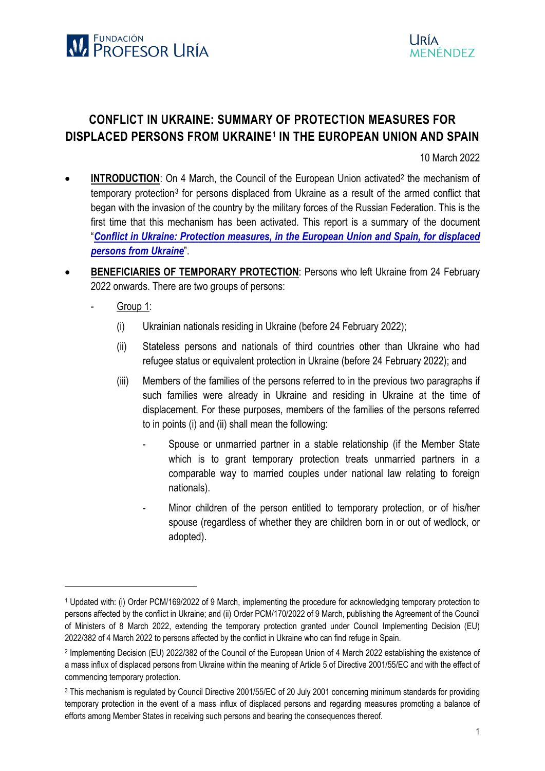

## **CONFLICT IN UKRAINE: SUMMARY OF PROTECTION MEASURES FOR DISPLACED PERSONS FROM UKRAINE[1](#page-0-0) IN THE EUROPEAN UNION AND SPAIN**

10 March 2022

- **INTRODUCTION**: On 4 March, the Council of the European Union activated<sup>[2](#page-0-1)</sup> the mechanism of temporary protection[3](#page-0-2) for persons displaced from Ukraine as a result of the armed conflict that began with the invasion of the country by the military forces of the Russian Federation. This is the first time that this mechanism has been activated. This report is a summary of the document "*[Conflict in Ukraine: Protection measures, in the European Union and Spain, for displaced](https://www.fundacionprofesoruria.org/la-fundacion/documentacion.html)  persons [from Ukraine](https://www.fundacionprofesoruria.org/la-fundacion/documentacion.html)*".
- **BENEFICIARIES OF TEMPORARY PROTECTION:** Persons who left Ukraine from 24 February 2022 onwards. There are two groups of persons:
	- Group 1:

<u>.</u>

- (i) Ukrainian nationals residing in Ukraine (before 24 February 2022);
- (ii) Stateless persons and nationals of third countries other than Ukraine who had refugee status or equivalent protection in Ukraine (before 24 February 2022); and
- (iii) Members of the families of the persons referred to in the previous two paragraphs if such families were already in Ukraine and residing in Ukraine at the time of displacement. For these purposes, members of the families of the persons referred to in points (i) and (ii) shall mean the following:
	- Spouse or unmarried partner in a stable relationship (if the Member State which is to grant temporary protection treats unmarried partners in a comparable way to married couples under national law relating to foreign nationals).
	- Minor children of the person entitled to temporary protection, or of his/her spouse (regardless of whether they are children born in or out of wedlock, or adopted).

<span id="page-0-0"></span><sup>1</sup> Updated with: (i) Order PCM/169/2022 of 9 March, implementing the procedure for acknowledging temporary protection to persons affected by the conflict in Ukraine; and (ii) Order PCM/170/2022 of 9 March, publishing the Agreement of the Council of Ministers of 8 March 2022, extending the temporary protection granted under Council Implementing Decision (EU) 2022/382 of 4 March 2022 to persons affected by the conflict in Ukraine who can find refuge in Spain.

<span id="page-0-1"></span><sup>2</sup> Implementing Decision (EU) 2022/382 of the Council of the European Union of 4 March 2022 establishing the existence of a mass influx of displaced persons from Ukraine within the meaning of Article 5 of Directive 2001/55/EC and with the effect of commencing temporary protection.

<span id="page-0-2"></span><sup>3</sup> This mechanism is regulated by Council Directive 2001/55/EC of 20 July 2001 concerning minimum standards for providing temporary protection in the event of a mass influx of displaced persons and regarding measures promoting a balance of efforts among Member States in receiving such persons and bearing the consequences thereof.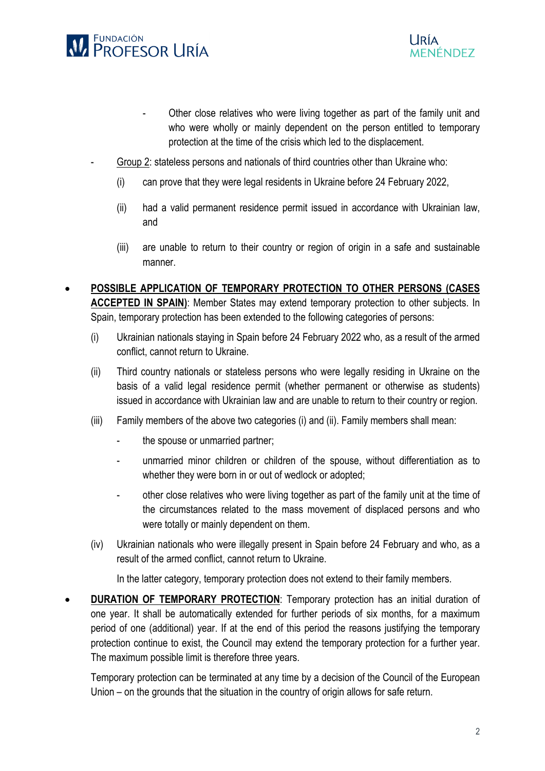

- Other close relatives who were living together as part of the family unit and who were wholly or mainly dependent on the person entitled to temporary protection at the time of the crisis which led to the displacement.
- Group 2: stateless persons and nationals of third countries other than Ukraine who:
	- (i) can prove that they were legal residents in Ukraine before 24 February 2022,
	- (ii) had a valid permanent residence permit issued in accordance with Ukrainian law, and
	- (iii) are unable to return to their country or region of origin in a safe and sustainable manner.
- **POSSIBLE APPLICATION OF TEMPORARY PROTECTION TO OTHER PERSONS (CASES ACCEPTED IN SPAIN)**: Member States may extend temporary protection to other subjects. In Spain, temporary protection has been extended to the following categories of persons:
	- (i) Ukrainian nationals staying in Spain before 24 February 2022 who, as a result of the armed conflict, cannot return to Ukraine.
	- (ii) Third country nationals or stateless persons who were legally residing in Ukraine on the basis of a valid legal residence permit (whether permanent or otherwise as students) issued in accordance with Ukrainian law and are unable to return to their country or region.
	- (iii) Family members of the above two categories (i) and (ii). Family members shall mean:
		- the spouse or unmarried partner;
		- unmarried minor children or children of the spouse, without differentiation as to whether they were born in or out of wedlock or adopted;
		- other close relatives who were living together as part of the family unit at the time of the circumstances related to the mass movement of displaced persons and who were totally or mainly dependent on them.
	- (iv) Ukrainian nationals who were illegally present in Spain before 24 February and who, as a result of the armed conflict, cannot return to Ukraine.

In the latter category, temporary protection does not extend to their family members.

**DURATION OF TEMPORARY PROTECTION:** Temporary protection has an initial duration of one year. It shall be automatically extended for further periods of six months, for a maximum period of one (additional) year. If at the end of this period the reasons justifying the temporary protection continue to exist, the Council may extend the temporary protection for a further year. The maximum possible limit is therefore three years.

Temporary protection can be terminated at any time by a decision of the Council of the European Union – on the grounds that the situation in the country of origin allows for safe return.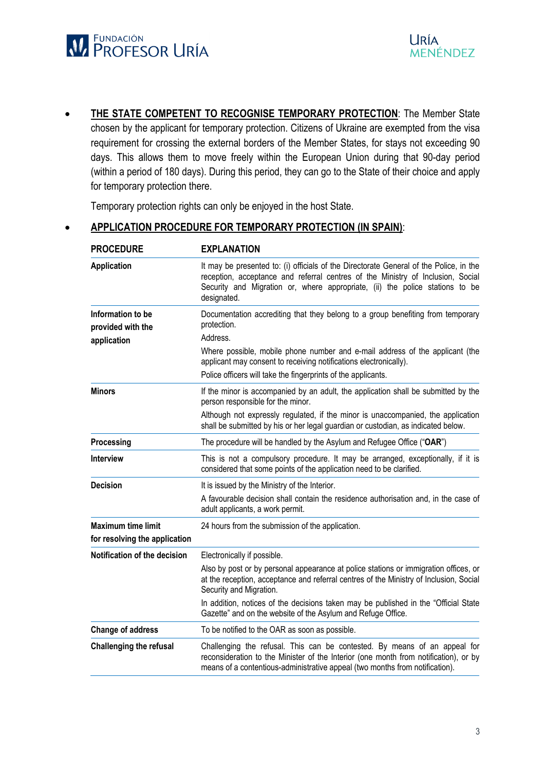

**THE STATE COMPETENT TO RECOGNISE TEMPORARY PROTECTION:** The Member State chosen by the applicant for temporary protection. Citizens of Ukraine are exempted from the visa requirement for crossing the external borders of the Member States, for stays not exceeding 90 days. This allows them to move freely within the European Union during that 90-day period (within a period of 180 days). During this period, they can go to the State of their choice and apply for temporary protection there.

Temporary protection rights can only be enjoyed in the host State.

## • **APPLICATION PROCEDURE FOR TEMPORARY PROTECTION (IN SPAIN)**:

| <b>PROCEDURE</b>                                           | <b>EXPLANATION</b>                                                                                                                                                                                                                                                       |  |
|------------------------------------------------------------|--------------------------------------------------------------------------------------------------------------------------------------------------------------------------------------------------------------------------------------------------------------------------|--|
| <b>Application</b>                                         | It may be presented to: (i) officials of the Directorate General of the Police, in the<br>reception, acceptance and referral centres of the Ministry of Inclusion, Social<br>Security and Migration or, where appropriate, (ii) the police stations to be<br>designated. |  |
| Information to be<br>provided with the                     | Documentation accrediting that they belong to a group benefiting from temporary<br>protection.<br>Address.                                                                                                                                                               |  |
| application                                                | Where possible, mobile phone number and e-mail address of the applicant (the<br>applicant may consent to receiving notifications electronically).<br>Police officers will take the fingerprints of the applicants.                                                       |  |
| Minors                                                     | If the minor is accompanied by an adult, the application shall be submitted by the<br>person responsible for the minor.                                                                                                                                                  |  |
|                                                            | Although not expressly regulated, if the minor is unaccompanied, the application<br>shall be submitted by his or her legal guardian or custodian, as indicated below.                                                                                                    |  |
| Processing                                                 | The procedure will be handled by the Asylum and Refugee Office ("OAR")                                                                                                                                                                                                   |  |
| <b>Interview</b>                                           | This is not a compulsory procedure. It may be arranged, exceptionally, if it is<br>considered that some points of the application need to be clarified.                                                                                                                  |  |
| <b>Decision</b>                                            | It is issued by the Ministry of the Interior.                                                                                                                                                                                                                            |  |
|                                                            | A favourable decision shall contain the residence authorisation and, in the case of<br>adult applicants, a work permit.                                                                                                                                                  |  |
| <b>Maximum time limit</b><br>for resolving the application | 24 hours from the submission of the application.                                                                                                                                                                                                                         |  |
| Notification of the decision                               | Electronically if possible.                                                                                                                                                                                                                                              |  |
|                                                            | Also by post or by personal appearance at police stations or immigration offices, or<br>at the reception, acceptance and referral centres of the Ministry of Inclusion, Social<br>Security and Migration.                                                                |  |
|                                                            | In addition, notices of the decisions taken may be published in the "Official State<br>Gazette" and on the website of the Asylum and Refuge Office.                                                                                                                      |  |
| <b>Change of address</b>                                   | To be notified to the OAR as soon as possible.                                                                                                                                                                                                                           |  |
| <b>Challenging the refusal</b>                             | Challenging the refusal. This can be contested. By means of an appeal for<br>reconsideration to the Minister of the Interior (one month from notification), or by<br>means of a contentious-administrative appeal (two months from notification).                        |  |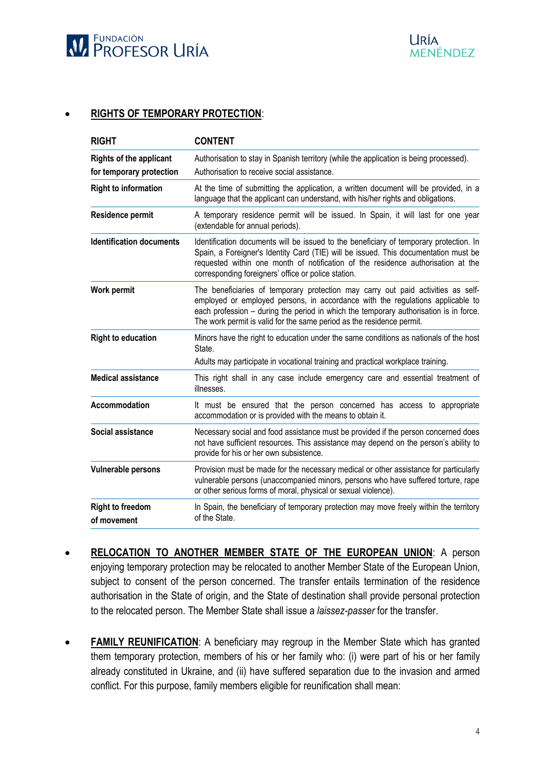

## • **RIGHTS OF TEMPORARY PROTECTION**:

| <b>RIGHT</b>                           | <b>CONTENT</b>                                                                                                                                                                                                                                                                                                                       |  |
|----------------------------------------|--------------------------------------------------------------------------------------------------------------------------------------------------------------------------------------------------------------------------------------------------------------------------------------------------------------------------------------|--|
| <b>Rights of the applicant</b>         | Authorisation to stay in Spanish territory (while the application is being processed).                                                                                                                                                                                                                                               |  |
| for temporary protection               | Authorisation to receive social assistance.                                                                                                                                                                                                                                                                                          |  |
| <b>Right to information</b>            | At the time of submitting the application, a written document will be provided, in a<br>language that the applicant can understand, with his/her rights and obligations.                                                                                                                                                             |  |
| Residence permit                       | A temporary residence permit will be issued. In Spain, it will last for one year<br>(extendable for annual periods).                                                                                                                                                                                                                 |  |
| <b>Identification documents</b>        | Identification documents will be issued to the beneficiary of temporary protection. In<br>Spain, a Foreigner's Identity Card (TIE) will be issued. This documentation must be<br>requested within one month of notification of the residence authorisation at the<br>corresponding foreigners' office or police station.             |  |
| <b>Work permit</b>                     | The beneficiaries of temporary protection may carry out paid activities as self-<br>employed or employed persons, in accordance with the regulations applicable to<br>each profession - during the period in which the temporary authorisation is in force.<br>The work permit is valid for the same period as the residence permit. |  |
| <b>Right to education</b>              | Minors have the right to education under the same conditions as nationals of the host<br>State.                                                                                                                                                                                                                                      |  |
|                                        | Adults may participate in vocational training and practical workplace training.                                                                                                                                                                                                                                                      |  |
| <b>Medical assistance</b>              | This right shall in any case include emergency care and essential treatment of<br>illnesses.                                                                                                                                                                                                                                         |  |
| Accommodation                          | It must be ensured that the person concerned has access to appropriate<br>accommodation or is provided with the means to obtain it.                                                                                                                                                                                                  |  |
| Social assistance                      | Necessary social and food assistance must be provided if the person concerned does<br>not have sufficient resources. This assistance may depend on the person's ability to<br>provide for his or her own subsistence.                                                                                                                |  |
| Vulnerable persons                     | Provision must be made for the necessary medical or other assistance for particularly<br>vulnerable persons (unaccompanied minors, persons who have suffered torture, rape<br>or other serious forms of moral, physical or sexual violence).                                                                                         |  |
| <b>Right to freedom</b><br>of movement | In Spain, the beneficiary of temporary protection may move freely within the territory<br>of the State.                                                                                                                                                                                                                              |  |

- **RELOCATION TO ANOTHER MEMBER STATE OF THE EUROPEAN UNION**: A person enjoying temporary protection may be relocated to another Member State of the European Union, subject to consent of the person concerned. The transfer entails termination of the residence authorisation in the State of origin, and the State of destination shall provide personal protection to the relocated person. The Member State shall issue a *laissez-passer* for the transfer.
- **FAMILY REUNIFICATION**: A beneficiary may regroup in the Member State which has granted them temporary protection, members of his or her family who: (i) were part of his or her family already constituted in Ukraine, and (ii) have suffered separation due to the invasion and armed conflict. For this purpose, family members eligible for reunification shall mean: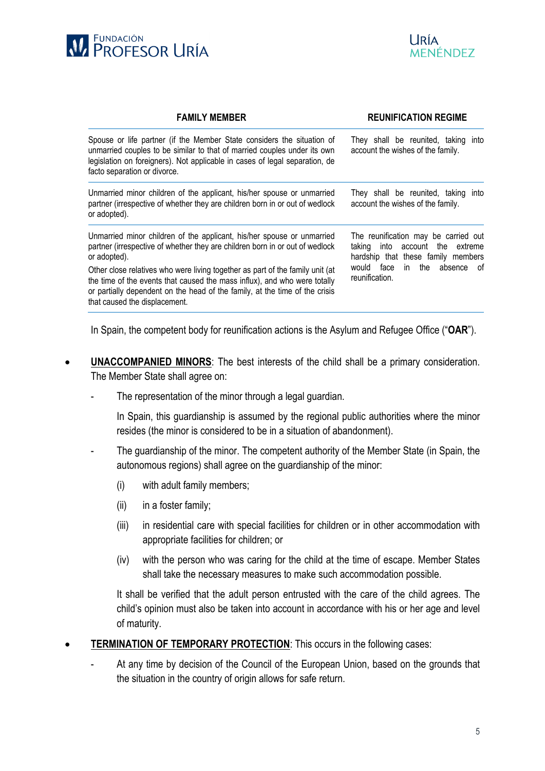



| <b>FAMILY MEMBER</b>                                                                                                                                                                                                                                                       | <b>REUNIFICATION REGIME</b>                                                                                      |  |
|----------------------------------------------------------------------------------------------------------------------------------------------------------------------------------------------------------------------------------------------------------------------------|------------------------------------------------------------------------------------------------------------------|--|
| Spouse or life partner (if the Member State considers the situation of<br>unmarried couples to be similar to that of married couples under its own<br>legislation on foreigners). Not applicable in cases of legal separation, de<br>facto separation or divorce.          | They shall be reunited, taking into<br>account the wishes of the family.                                         |  |
| Unmarried minor children of the applicant, his/her spouse or unmarried<br>partner (irrespective of whether they are children born in or out of wedlock<br>or adopted).                                                                                                     | They shall be reunited, taking into<br>account the wishes of the family.                                         |  |
| Unmarried minor children of the applicant, his/her spouse or unmarried<br>partner (irrespective of whether they are children born in or out of wedlock<br>or adopted).                                                                                                     | The reunification may be carried out<br>into account the extreme<br>taking<br>hardship that these family members |  |
| Other close relatives who were living together as part of the family unit (at<br>the time of the events that caused the mass influx), and who were totally<br>or partially dependent on the head of the family, at the time of the crisis<br>that caused the displacement. | would face<br>in the absence of<br>reunification.                                                                |  |

In Spain, the competent body for reunification actions is the Asylum and Refugee Office ("**OAR**").

- **UNACCOMPANIED MINORS:** The best interests of the child shall be a primary consideration. The Member State shall agree on:
	- The representation of the minor through a legal guardian.

In Spain, this guardianship is assumed by the regional public authorities where the minor resides (the minor is considered to be in a situation of abandonment).

- The guardianship of the minor. The competent authority of the Member State (in Spain, the autonomous regions) shall agree on the guardianship of the minor:
	- (i) with adult family members;
	- (ii) in a foster family;
	- (iii) in residential care with special facilities for children or in other accommodation with appropriate facilities for children; or
	- (iv) with the person who was caring for the child at the time of escape. Member States shall take the necessary measures to make such accommodation possible.

It shall be verified that the adult person entrusted with the care of the child agrees. The child's opinion must also be taken into account in accordance with his or her age and level of maturity.

- **TERMINATION OF TEMPORARY PROTECTION:** This occurs in the following cases:
	- At any time by decision of the Council of the European Union, based on the grounds that the situation in the country of origin allows for safe return.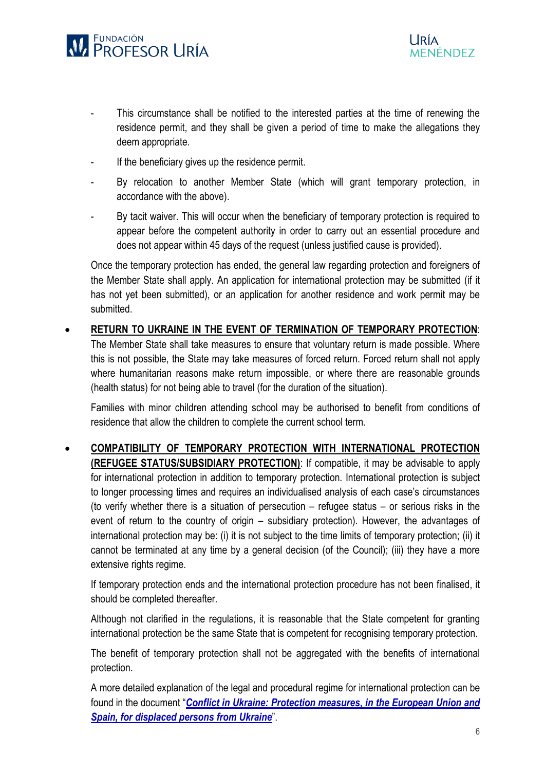

- This circumstance shall be notified to the interested parties at the time of renewing the residence permit, and they shall be given a period of time to make the allegations they deem appropriate.
- If the beneficiary gives up the residence permit.
- By relocation to another Member State (which will grant temporary protection, in accordance with the above).
- By tacit waiver. This will occur when the beneficiary of temporary protection is required to appear before the competent authority in order to carry out an essential procedure and does not appear within 45 days of the request (unless justified cause is provided).

Once the temporary protection has ended, the general law regarding protection and foreigners of the Member State shall apply. An application for international protection may be submitted (if it has not yet been submitted), or an application for another residence and work permit may be submitted.

• **RETURN TO UKRAINE IN THE EVENT OF TERMINATION OF TEMPORARY PROTECTION**: The Member State shall take measures to ensure that voluntary return is made possible. Where this is not possible, the State may take measures of forced return. Forced return shall not apply where humanitarian reasons make return impossible, or where there are reasonable grounds (health status) for not being able to travel (for the duration of the situation).

Families with minor children attending school may be authorised to benefit from conditions of residence that allow the children to complete the current school term.

• **COMPATIBILITY OF TEMPORARY PROTECTION WITH INTERNATIONAL PROTECTION (REFUGEE STATUS/SUBSIDIARY PROTECTION)**: If compatible, it may be advisable to apply for international protection in addition to temporary protection. International protection is subject to longer processing times and requires an individualised analysis of each case's circumstances (to verify whether there is a situation of persecution – refugee status – or serious risks in the event of return to the country of origin – subsidiary protection). However, the advantages of international protection may be: (i) it is not subject to the time limits of temporary protection; (ii) it cannot be terminated at any time by a general decision (of the Council); (iii) they have a more extensive rights regime.

If temporary protection ends and the international protection procedure has not been finalised, it should be completed thereafter.

Although not clarified in the regulations, it is reasonable that the State competent for granting international protection be the same State that is competent for recognising temporary protection.

The benefit of temporary protection shall not be aggregated with the benefits of international protection.

A more detailed explanation of the legal and procedural regime for international protection can be found in the document "*[Conflict in Ukraine: Protection measures, in the European Union and](https://www.fundacionprofesoruria.org/la-fundacion/documentacion.html)  [Spain, for displaced persons from Ukraine](https://www.fundacionprofesoruria.org/la-fundacion/documentacion.html)*".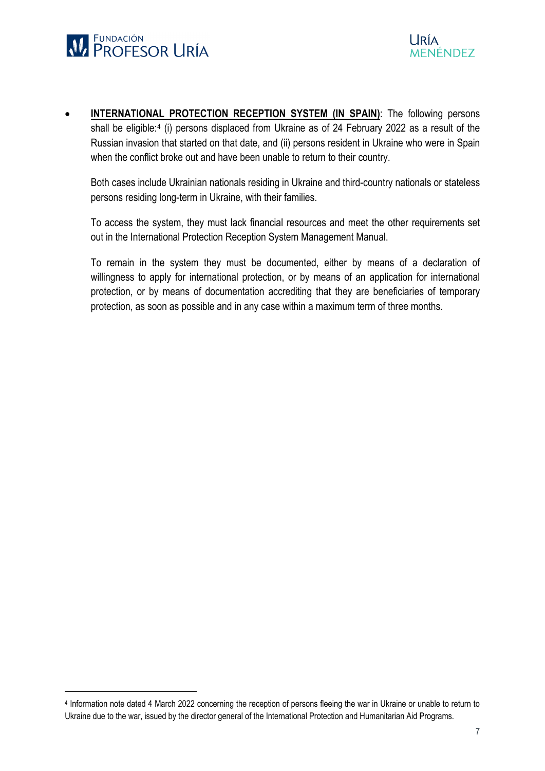

• **INTERNATIONAL PROTECTION RECEPTION SYSTEM (IN SPAIN)**: The following persons shall be eligible:<sup>[4](#page-6-0)</sup> (i) persons displaced from Ukraine as of 24 February 2022 as a result of the Russian invasion that started on that date, and (ii) persons resident in Ukraine who were in Spain when the conflict broke out and have been unable to return to their country.

Both cases include Ukrainian nationals residing in Ukraine and third-country nationals or stateless persons residing long-term in Ukraine, with their families.

To access the system, they must lack financial resources and meet the other requirements set out in the International Protection Reception System Management Manual.

To remain in the system they must be documented, either by means of a declaration of willingness to apply for international protection, or by means of an application for international protection, or by means of documentation accrediting that they are beneficiaries of temporary protection, as soon as possible and in any case within a maximum term of three months.

<span id="page-6-0"></span> <sup>4</sup> Information note dated 4 March 2022 concerning the reception of persons fleeing the war in Ukraine or unable to return to Ukraine due to the war, issued by the director general of the International Protection and Humanitarian Aid Programs.